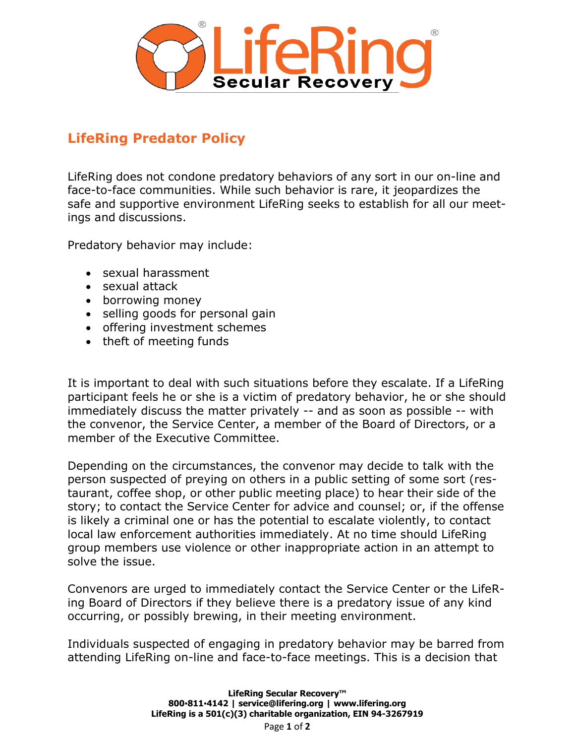

## **LifeRing Predator Policy**

LifeRing does not condone predatory behaviors of any sort in our on-line and face-to-face communities. While such behavior is rare, it jeopardizes the safe and supportive environment LifeRing seeks to establish for all our meetings and discussions.

Predatory behavior may include:

- sexual harassment
- sexual attack
- borrowing money
- selling goods for personal gain
- offering investment schemes
- theft of meeting funds

It is important to deal with such situations before they escalate. If a LifeRing participant feels he or she is a victim of predatory behavior, he or she should immediately discuss the matter privately -- and as soon as possible -- with the convenor, the Service Center, a member of the Board of Directors, or a member of the Executive Committee.

Depending on the circumstances, the convenor may decide to talk with the person suspected of preying on others in a public setting of some sort (restaurant, coffee shop, or other public meeting place) to hear their side of the story; to contact the Service Center for advice and counsel; or, if the offense is likely a criminal one or has the potential to escalate violently, to contact local law enforcement authorities immediately. At no time should LifeRing group members use violence or other inappropriate action in an attempt to solve the issue.

Convenors are urged to immediately contact the Service Center or the LifeRing Board of Directors if they believe there is a predatory issue of any kind occurring, or possibly brewing, in their meeting environment.

Individuals suspected of engaging in predatory behavior may be barred from attending LifeRing on-line and face-to-face meetings. This is a decision that

> **LifeRing Secular Recovery™ 800▪811▪4142 | service@lifering.org | www.lifering.org LifeRing is a 501(c)(3) charitable organization, EIN 94-3267919**